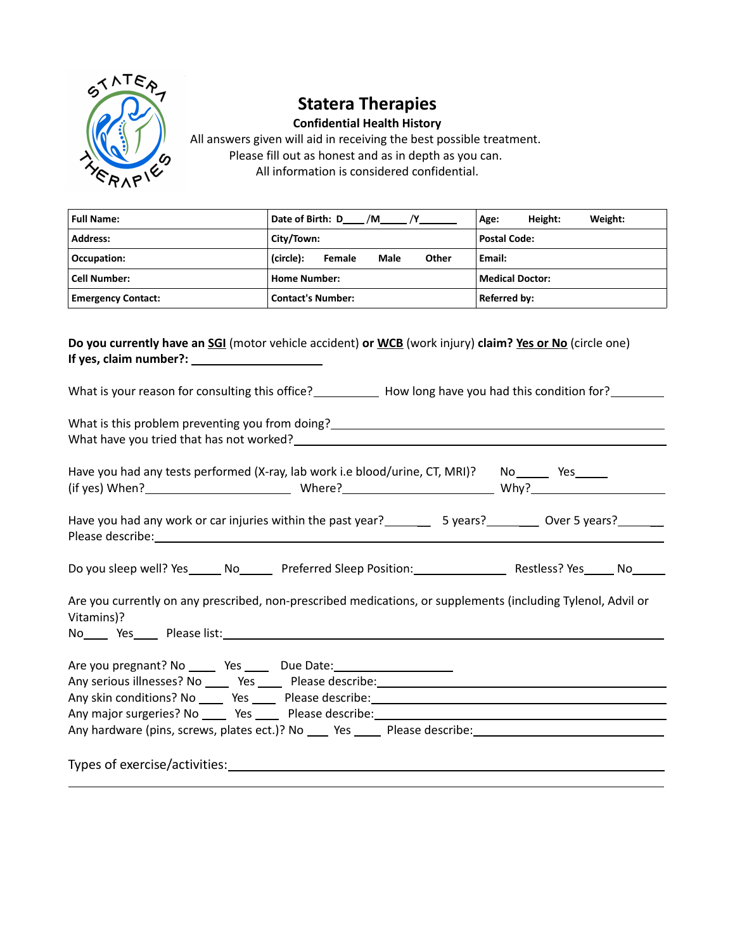

# **Statera Therapies**

**Confidential Health History**

All answers given will aid in receiving the best possible treatment. Please fill out as honest and as in depth as you can. All information is considered confidential.

| <b>Full Name:</b>         | Date of Birth: D<br>$/M$ /Y          | Height:<br>Weight:<br>Age: |
|---------------------------|--------------------------------------|----------------------------|
| <b>Address:</b>           | City/Town:                           | <b>Postal Code:</b>        |
| Occupation:               | (circle):<br>Female<br>Male<br>Other | Email:                     |
| <b>Cell Number:</b>       | <b>Home Number:</b>                  | <b>Medical Doctor:</b>     |
| <b>Emergency Contact:</b> | <b>Contact's Number:</b>             | Referred by:               |

## **Do you currently have an SGI** (motor vehicle accident) **or WCB** (work injury) **claim? Yes or No** (circle one) **If yes, claim number?:**

What is your reason for consulting this office? How long have you had this condition for?

| What is this problem preventing you from doing? |  |
|-------------------------------------------------|--|
| What have you tried that has not worked?        |  |

| Have you had any tests performed (X-ray, lab work i.e blood/urine, CT, MRI)? |        | - No |  |
|------------------------------------------------------------------------------|--------|------|--|
| (if yes) When?                                                               | Where? | Whv? |  |

|                  | Have you had any work or car injuries within the past year? | 5 years? | Over 5 years? |
|------------------|-------------------------------------------------------------|----------|---------------|
| Please describe: |                                                             |          |               |

| Do you sleep well? Yes<br>N٥ | <b>Preferred Sleep Position:</b> | Restless? Yes | No |
|------------------------------|----------------------------------|---------------|----|
|------------------------------|----------------------------------|---------------|----|

Are you currently on any prescribed, non-prescribed medications, or supplements (including Tylenol, Advil or Vitamins)?

No Yes Please list: Next Please list:

 $\overline{a}$ 

| Are you pregnant? No ______ Yes ______ Due Date:                                                                                                                                                                              |                                                                                                      |
|-------------------------------------------------------------------------------------------------------------------------------------------------------------------------------------------------------------------------------|------------------------------------------------------------------------------------------------------|
| Any serious illnesses? No ______ Yes ______ Please describe: ___________________                                                                                                                                              |                                                                                                      |
|                                                                                                                                                                                                                               | Any skin conditions? No ______ Yes ______ Please describe: ______________________                    |
|                                                                                                                                                                                                                               |                                                                                                      |
|                                                                                                                                                                                                                               | Any hardware (pins, screws, plates ect.)? No _____ Yes ______ Please describe: _____________________ |
| Types of exercise/activities: National Assembly and the series of exercise of the series of the series of the series of the series of the series of the series of the series of the series of the series of the series of the |                                                                                                      |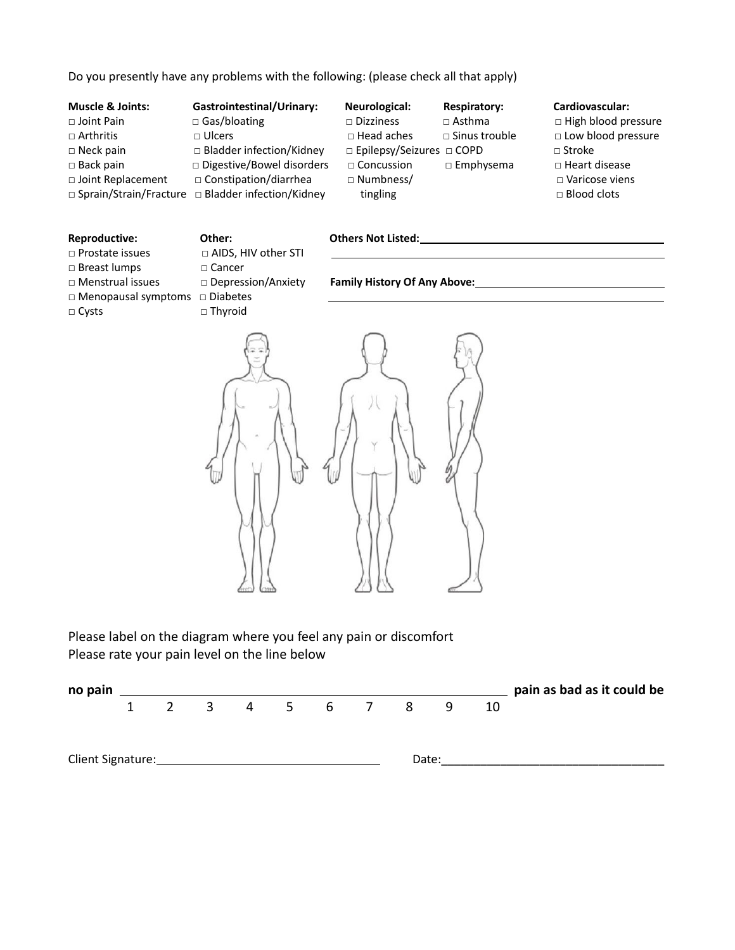Do you presently have any problems with the following: (please check all that apply)

|  | <b>Muscle &amp; Joints:</b><br>$\Box$ Joint Pain<br>$\Box$ Arthritis<br>$\Box$ Neck pain<br>$\Box$ Back pain<br>□ Joint Replacement | Gastrointestinal/Urinary:<br>$\Box$ Gas/bloating<br>$\Box$ Ulcers<br>$\Box$ Bladder infection/Kidney<br>□ Digestive/Bowel disorders<br>$\Box$ Constipation/diarrhea<br>$\Box$ Sprain/Strain/Fracture $\Box$ Bladder infection/Kidney | Neurological:<br>$\square$ Dizziness<br>$\Box$ Head aches<br>□ Epilepsy/Seizures □ COPD<br>$\Box$ Concussion<br>$\Box$ Numbness/<br>tingling | <b>Respiratory:</b><br>$\Box$ Asthma<br>$\Box$ Sinus trouble<br>$\Box$ Emphysema | Cardiovascular:<br>□ High blood pressure<br>□ Low blood pressure<br>$\Box$ Stroke<br>$\Box$ Heart disease<br>$\Box$ Varicose viens<br>$\Box$ Blood clots |
|--|-------------------------------------------------------------------------------------------------------------------------------------|--------------------------------------------------------------------------------------------------------------------------------------------------------------------------------------------------------------------------------------|----------------------------------------------------------------------------------------------------------------------------------------------|----------------------------------------------------------------------------------|----------------------------------------------------------------------------------------------------------------------------------------------------------|
|--|-------------------------------------------------------------------------------------------------------------------------------------|--------------------------------------------------------------------------------------------------------------------------------------------------------------------------------------------------------------------------------------|----------------------------------------------------------------------------------------------------------------------------------------------|----------------------------------------------------------------------------------|----------------------------------------------------------------------------------------------------------------------------------------------------------|

**Reproductive: Other: Others Not Listed:**  □ Prostate issues □ AIDS, HIV other STI □ Breast lumps □ Cancer □ Menstrual issues □ Depression/Anxiety **Family History Of Any Above:**  □ Menopausal symptoms □ Diabetes □ Cysts □ Thyroid



Please label on the diagram where you feel any pain or discomfort Please rate your pain level on the line below